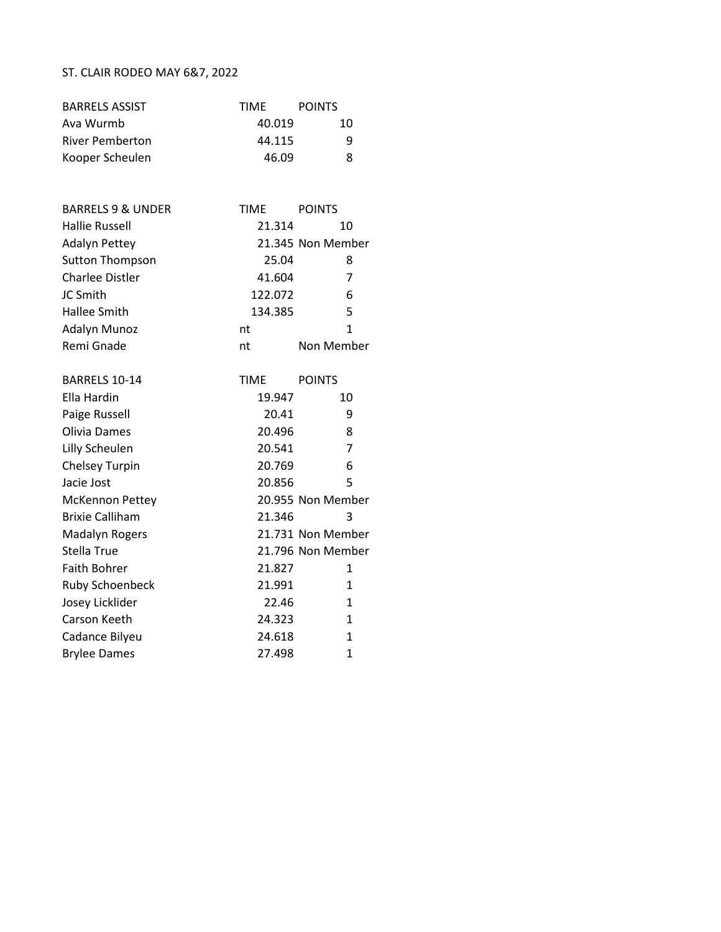## ST. CLAIR RODEO MAY 6&7, 2022

| <b>BARRELS ASSIST</b>        | <b>TIME</b> | <b>POINTS</b>     |
|------------------------------|-------------|-------------------|
| Ava Wurmb                    | 40.019      | 10                |
| <b>River Pemberton</b>       | 44.115      | 9                 |
| Kooper Scheulen              | 46.09       | 8                 |
|                              |             |                   |
| <b>BARRELS 9 &amp; UNDER</b> | <b>TIME</b> | <b>POINTS</b>     |
| <b>Hallie Russell</b>        | 21.314      | 10                |
| <b>Adalyn Pettey</b>         |             | 21.345 Non Member |
| <b>Sutton Thompson</b>       | 25.04       | 8                 |
| <b>Charlee Distler</b>       | 41.604      | 7                 |
| JC Smith                     | 122.072     | 6                 |
| <b>Hallee Smith</b>          | 134.385     | 5                 |
| <b>Adalyn Munoz</b>          | nt          | 1                 |
| Remi Gnade                   | nt          | Non Member        |
| BARRELS 10-14                | <b>TIME</b> | <b>POINTS</b>     |
| Ella Hardin                  | 19.947      | 10                |
| Paige Russell                | 20.41       | 9                 |
| Olivia Dames                 | 20.496      | 8                 |
| Lilly Scheulen               | 20.541      | 7                 |
| Chelsey Turpin               | 20.769      | 6                 |
| Jacie Jost                   | 20.856      | 5                 |
| <b>McKennon Pettey</b>       |             | 20.955 Non Member |
| <b>Brixie Calliham</b>       | 21.346      | 3                 |
| <b>Madalyn Rogers</b>        |             | 21.731 Non Member |
| <b>Stella True</b>           |             | 21.796 Non Member |
| <b>Faith Bohrer</b>          | 21.827      | $\mathbf{1}$      |
| <b>Ruby Schoenbeck</b>       | 21.991      | 1                 |
| Josey Licklider              | 22.46       | 1                 |
| Carson Keeth                 | 24.323      | 1                 |
| Cadance Bilyeu               | 24.618      | $\mathbf{1}$      |
| <b>Brylee Dames</b>          | 27.498      | $\mathbf{1}$      |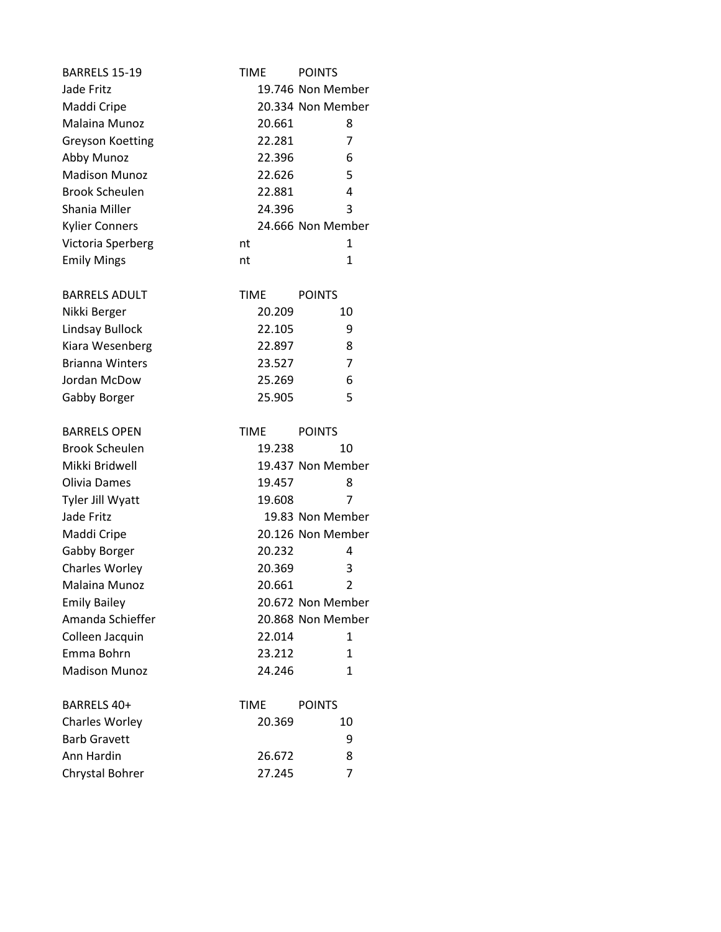| <b>BARRELS 15-19</b>    | TIME        | <b>POINTS</b>     |
|-------------------------|-------------|-------------------|
| Jade Fritz              |             | 19.746 Non Member |
| Maddi Cripe             |             | 20.334 Non Member |
| Malaina Munoz           | 20.661      | 8                 |
| <b>Greyson Koetting</b> | 22.281      | 7                 |
| Abby Munoz              | 22.396      | 6                 |
| <b>Madison Munoz</b>    | 22.626      | 5                 |
| <b>Brook Scheulen</b>   | 22.881      | 4                 |
| Shania Miller           | 24.396      | 3                 |
| <b>Kylier Conners</b>   |             | 24.666 Non Member |
| Victoria Sperberg       | nt          | 1                 |
| <b>Emily Mings</b>      | nt          | 1                 |
| <b>BARRELS ADULT</b>    | <b>TIME</b> | <b>POINTS</b>     |
| Nikki Berger            | 20.209      | 10                |
| Lindsay Bullock         | 22.105      | 9                 |
| Kiara Wesenberg         | 22.897      | 8                 |
| <b>Brianna Winters</b>  | 23.527      | 7                 |
| Jordan McDow            | 25.269      | 6                 |
| Gabby Borger            | 25.905      | 5                 |
|                         |             |                   |
| <b>BARRELS OPEN</b>     | <b>TIME</b> | <b>POINTS</b>     |
| <b>Brook Scheulen</b>   | 19.238      | 10                |
| Mikki Bridwell          |             | 19.437 Non Member |
| Olivia Dames            | 19.457      | 8                 |
| Tyler Jill Wyatt        | 19.608      | 7                 |
| Jade Fritz              |             | 19.83 Non Member  |
| Maddi Cripe             |             | 20.126 Non Member |
| Gabby Borger            | 20.232      | 4                 |
| Charles Worley          | 20.369      | 3                 |
| Malaina Munoz           | 20.661      | $\overline{2}$    |
| <b>Emily Bailey</b>     |             | 20.672 Non Member |
| Amanda Schieffer        |             | 20.868 Non Member |
| Colleen Jacquin         | 22.014      | 1                 |
| Emma Bohrn              | 23.212      | 1                 |
| <b>Madison Munoz</b>    | 24.246      | 1                 |
| BARRELS 40+             | TIME        | <b>POINTS</b>     |
| <b>Charles Worley</b>   | 20.369      | 10                |
| <b>Barb Gravett</b>     |             | 9                 |
| Ann Hardin              | 26.672      | 8                 |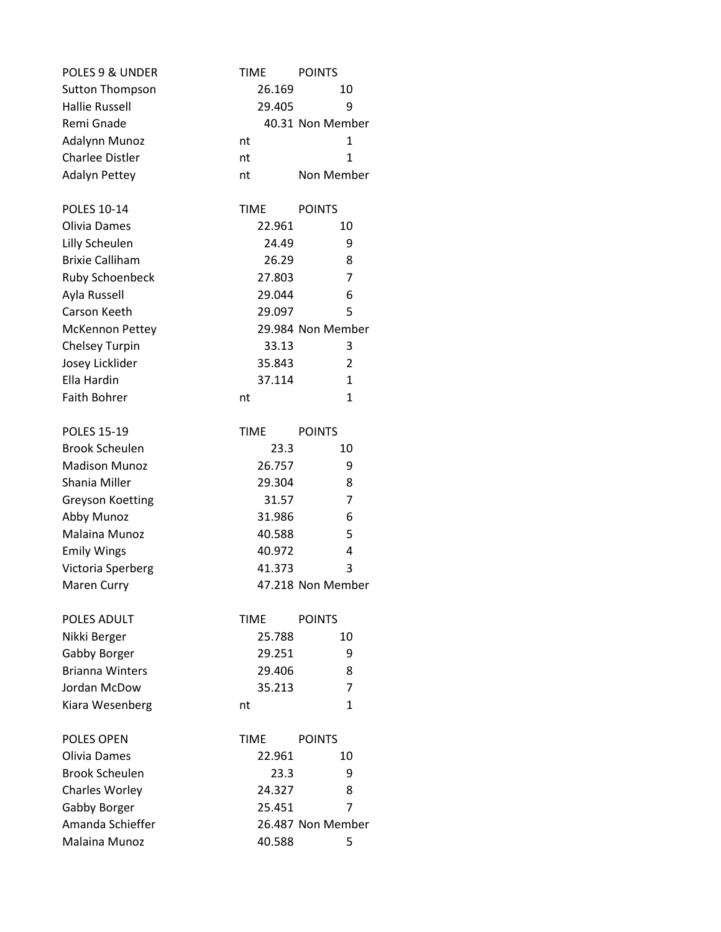| POLES 9 & UNDER         | <b>TIME</b> | <b>POINTS</b>     |
|-------------------------|-------------|-------------------|
| <b>Sutton Thompson</b>  | 26.169      | 10                |
| <b>Hallie Russell</b>   | 29.405      | 9                 |
| Remi Gnade              |             | 40.31 Non Member  |
| Adalynn Munoz           | nt          | 1                 |
| <b>Charlee Distler</b>  | nt          | $\mathbf{1}$      |
| <b>Adalyn Pettey</b>    | nt          | Non Member        |
| POLES 10-14             | <b>TIME</b> | <b>POINTS</b>     |
| Olivia Dames            | 22.961      | 10                |
| Lilly Scheulen          | 24.49       | 9                 |
| <b>Brixie Calliham</b>  | 26.29       | 8                 |
| <b>Ruby Schoenbeck</b>  | 27.803      | 7                 |
| Ayla Russell            | 29.044      | 6                 |
| Carson Keeth            | 29.097      | 5                 |
| <b>McKennon Pettey</b>  |             | 29.984 Non Member |
| <b>Chelsey Turpin</b>   | 33.13       | 3                 |
| Josey Licklider         | 35.843      | 2                 |
| Ella Hardin             | 37.114      | 1                 |
| <b>Faith Bohrer</b>     | nt          | $\mathbf{1}$      |
| <b>POLES 15-19</b>      | <b>TIME</b> | <b>POINTS</b>     |
| <b>Brook Scheulen</b>   | 23.3        | 10                |
| <b>Madison Munoz</b>    | 26.757      | 9                 |
| Shania Miller           | 29.304      | 8                 |
| <b>Greyson Koetting</b> | 31.57       | 7                 |
| Abby Munoz              | 31.986      | 6                 |
| Malaina Munoz           | 40.588      | 5                 |
| <b>Emily Wings</b>      | 40.972      | 4                 |
| Victoria Sperberg       | 41.373      | 3                 |
| <b>Maren Curry</b>      |             | 47.218 Non Member |
| POLES ADULT             | TIME        | <b>POINTS</b>     |
| Nikki Berger            | 25.788      | 10                |
| Gabby Borger            | 29.251      | 9                 |
| <b>Brianna Winters</b>  | 29.406      | 8                 |
| Jordan McDow            | 35.213      | 7                 |
| Kiara Wesenberg         | nt          | $\mathbf{1}$      |
| <b>POLES OPEN</b>       | <b>TIME</b> | <b>POINTS</b>     |
| Olivia Dames            | 22.961      | 10                |
| <b>Brook Scheulen</b>   | 23.3        | 9                 |
| Charles Worley          | 24.327      | 8                 |
| Gabby Borger            | 25.451      | 7                 |
| Amanda Schieffer        |             | 26.487 Non Member |
| Malaina Munoz           | 40.588      | 5                 |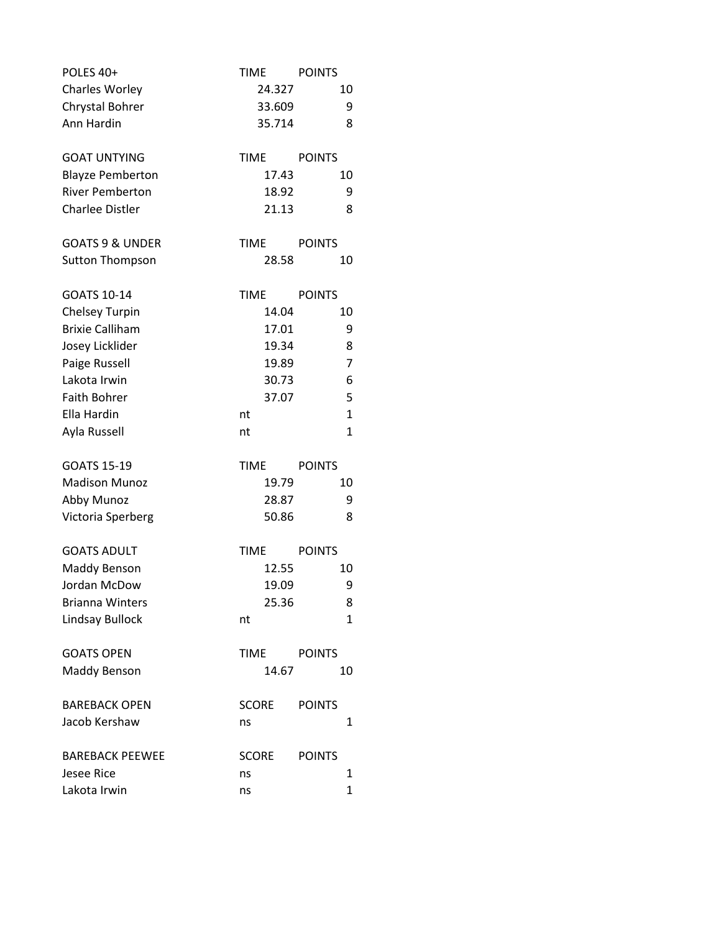| POLES 40+                  | <b>TIME</b>  | <b>POINTS</b> |
|----------------------------|--------------|---------------|
| Charles Worley             | 24.327       | 10            |
| Chrystal Bohrer            | 33.609       | 9             |
| Ann Hardin                 | 35.714       | 8             |
| <b>GOAT UNTYING</b>        | <b>TIME</b>  | <b>POINTS</b> |
| <b>Blayze Pemberton</b>    | 17.43        | 10            |
| <b>River Pemberton</b>     | 18.92        | 9             |
| <b>Charlee Distler</b>     | 21.13        | 8             |
| <b>GOATS 9 &amp; UNDER</b> | <b>TIME</b>  | <b>POINTS</b> |
| <b>Sutton Thompson</b>     | 28.58        | 10            |
| GOATS 10-14                | <b>TIME</b>  | <b>POINTS</b> |
| <b>Chelsey Turpin</b>      | 14.04        | 10            |
| <b>Brixie Calliham</b>     | 17.01        | 9             |
| Josey Licklider            | 19.34        | 8             |
| Paige Russell              | 19.89        | 7             |
| Lakota Irwin               | 30.73        | 6             |
| <b>Faith Bohrer</b>        | 37.07        | 5             |
| Ella Hardin                | nt           | $\mathbf{1}$  |
| Ayla Russell               | nt           | $\mathbf{1}$  |
| <b>GOATS 15-19</b>         | <b>TIME</b>  | <b>POINTS</b> |
| <b>Madison Munoz</b>       | 19.79        | 10            |
| Abby Munoz                 | 28.87        | 9             |
| Victoria Sperberg          | 50.86        | 8             |
| <b>GOATS ADULT</b>         | <b>TIME</b>  | <b>POINTS</b> |
| Maddy Benson               | 12.55        | 10            |
| Jordan McDow               | 19.09        | 9             |
| <b>Brianna Winters</b>     | 25.36        | 8             |
| Lindsay Bullock            | nt           | $\mathbf{1}$  |
| <b>GOATS OPEN</b>          | TIME         | <b>POINTS</b> |
| <b>Maddy Benson</b>        | 14.67        | 10            |
| <b>BAREBACK OPEN</b>       | <b>SCORE</b> | <b>POINTS</b> |
| Jacob Kershaw              | ns           | 1             |
| <b>BAREBACK PEEWEE</b>     | SCORE        | <b>POINTS</b> |
| Jesee Rice                 | ns           | 1             |
| Lakota Irwin               | ns           | $\mathbf{1}$  |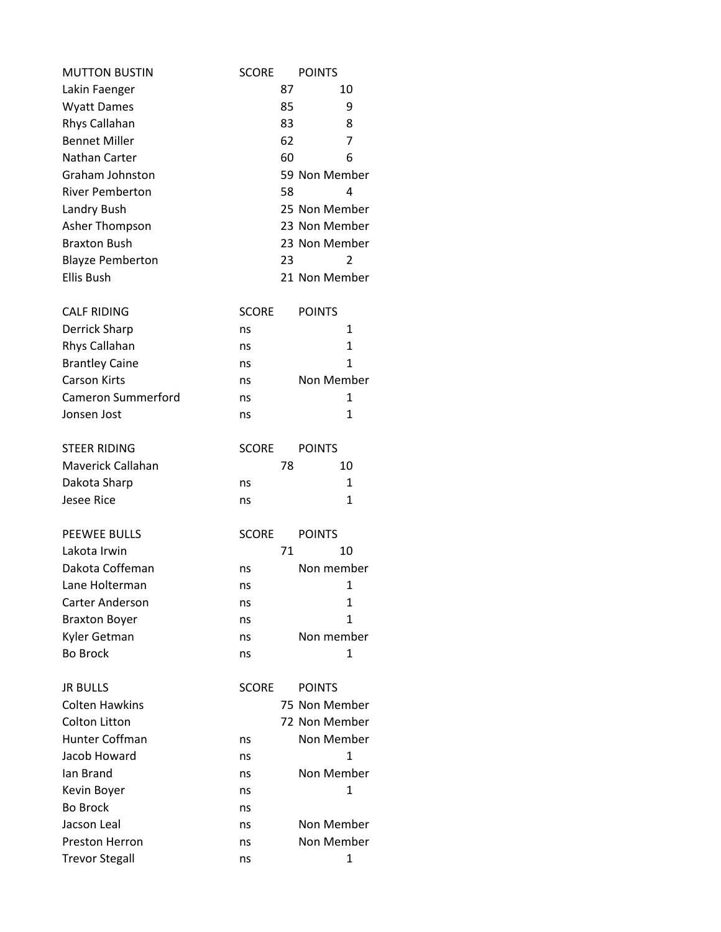| <b>MUTTON BUSTIN</b>    | <b>SCORE</b> |    | <b>POINTS</b> |
|-------------------------|--------------|----|---------------|
| Lakin Faenger           |              | 87 | 10            |
| <b>Wyatt Dames</b>      |              | 85 | 9             |
| Rhys Callahan           |              | 83 | 8             |
| <b>Bennet Miller</b>    |              | 62 | 7             |
| Nathan Carter           |              | 60 | 6             |
| Graham Johnston         |              |    | 59 Non Member |
| <b>River Pemberton</b>  |              | 58 | 4             |
| Landry Bush             |              |    | 25 Non Member |
| Asher Thompson          |              |    | 23 Non Member |
| <b>Braxton Bush</b>     |              |    | 23 Non Member |
| <b>Blayze Pemberton</b> |              | 23 | 2             |
| <b>Ellis Bush</b>       |              |    | 21 Non Member |
| <b>CALF RIDING</b>      | <b>SCORE</b> |    | <b>POINTS</b> |
| Derrick Sharp           | ns           |    | 1             |
| Rhys Callahan           | ns           |    | $\mathbf{1}$  |
| <b>Brantley Caine</b>   | ns           |    | 1             |
| <b>Carson Kirts</b>     | ns           |    | Non Member    |
| Cameron Summerford      | ns           |    | 1             |
| Jonsen Jost             | ns           |    | $\mathbf{1}$  |
| <b>STEER RIDING</b>     | <b>SCORE</b> |    | <b>POINTS</b> |
| Maverick Callahan       |              | 78 | 10            |
| Dakota Sharp            | ns           |    | 1             |
| <b>Jesee Rice</b>       | ns           |    | $\mathbf{1}$  |
| <b>PEEWEE BULLS</b>     | <b>SCORE</b> |    | <b>POINTS</b> |
| Lakota Irwin            |              | 71 | 10            |
| Dakota Coffeman         | ns           |    | Non member    |
| Lane Holterman          | ns           |    | 1             |
| <b>Carter Anderson</b>  | ns           |    | 1             |
| <b>Braxton Boyer</b>    | ns           |    | 1             |
| Kyler Getman            | ns           |    | Non member    |
| <b>Bo Brock</b>         | ns           |    | 1             |
| <b>JR BULLS</b>         | <b>SCORE</b> |    | <b>POINTS</b> |
| <b>Colten Hawkins</b>   |              |    | 75 Non Member |
| Colton Litton           |              |    | 72 Non Member |
| <b>Hunter Coffman</b>   | ns           |    | Non Member    |
| Jacob Howard            | ns           |    | 1             |
| lan Brand               | ns           |    | Non Member    |
| Kevin Boyer             | ns           |    | 1             |
| <b>Bo Brock</b>         | ns           |    |               |
| Jacson Leal             | ns           |    | Non Member    |
| <b>Preston Herron</b>   | ns           |    | Non Member    |
| <b>Trevor Stegall</b>   | ns           |    | 1             |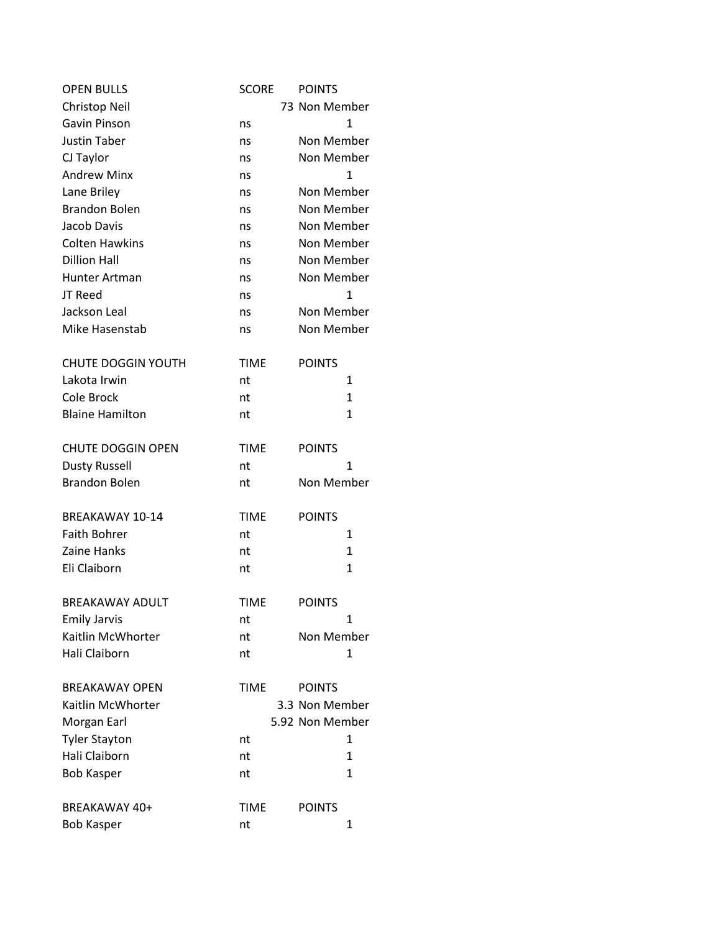| <b>OPEN BULLS</b>         | <b>SCORE</b> | <b>POINTS</b>   |
|---------------------------|--------------|-----------------|
| Christop Neil             |              | 73 Non Member   |
| Gavin Pinson              | ns           | $\mathbf{1}$    |
| <b>Justin Taber</b>       | ns           | Non Member      |
| CJ Taylor                 | ns           | Non Member      |
| <b>Andrew Minx</b>        | ns           | $\mathbf{1}$    |
| Lane Briley               | ns           | Non Member      |
| <b>Brandon Bolen</b>      | ns           | Non Member      |
| Jacob Davis               | ns           | Non Member      |
| <b>Colten Hawkins</b>     | ns           | Non Member      |
| <b>Dillion Hall</b>       | ns           | Non Member      |
| Hunter Artman             | ns           | Non Member      |
| JT Reed                   | ns           | $\mathbf{1}$    |
| Jackson Leal              | ns           | Non Member      |
| Mike Hasenstab            | ns           | Non Member      |
| <b>CHUTE DOGGIN YOUTH</b> | <b>TIME</b>  | <b>POINTS</b>   |
| Lakota Irwin              | nt           | $\mathbf{1}$    |
| Cole Brock                | nt           | $\mathbf{1}$    |
| <b>Blaine Hamilton</b>    | nt           | 1               |
| <b>CHUTE DOGGIN OPEN</b>  | <b>TIME</b>  | <b>POINTS</b>   |
| <b>Dusty Russell</b>      | nt           | 1               |
| <b>Brandon Bolen</b>      | nt           | Non Member      |
| BREAKAWAY 10-14           | <b>TIME</b>  | <b>POINTS</b>   |
| <b>Faith Bohrer</b>       | nt           | 1               |
| Zaine Hanks               | nt           | 1               |
| Eli Claiborn              | nt           | 1               |
| <b>BREAKAWAY ADULT</b>    | <b>TIME</b>  | <b>POINTS</b>   |
| <b>Emily Jarvis</b>       | nt           | 1               |
| Kaitlin McWhorter         | nt           | Non Member      |
| <b>Hali Claiborn</b>      | nt           | 1               |
| <b>BREAKAWAY OPEN</b>     | <b>TIME</b>  | <b>POINTS</b>   |
| Kaitlin McWhorter         |              | 3.3 Non Member  |
| Morgan Earl               |              | 5.92 Non Member |
| <b>Tyler Stayton</b>      | nt           | 1               |
| Hali Claiborn             | nt           | 1               |
| <b>Bob Kasper</b>         | nt           | 1               |
| BREAKAWAY 40+             | <b>TIME</b>  | <b>POINTS</b>   |
| <b>Bob Kasper</b>         | nt           | 1               |